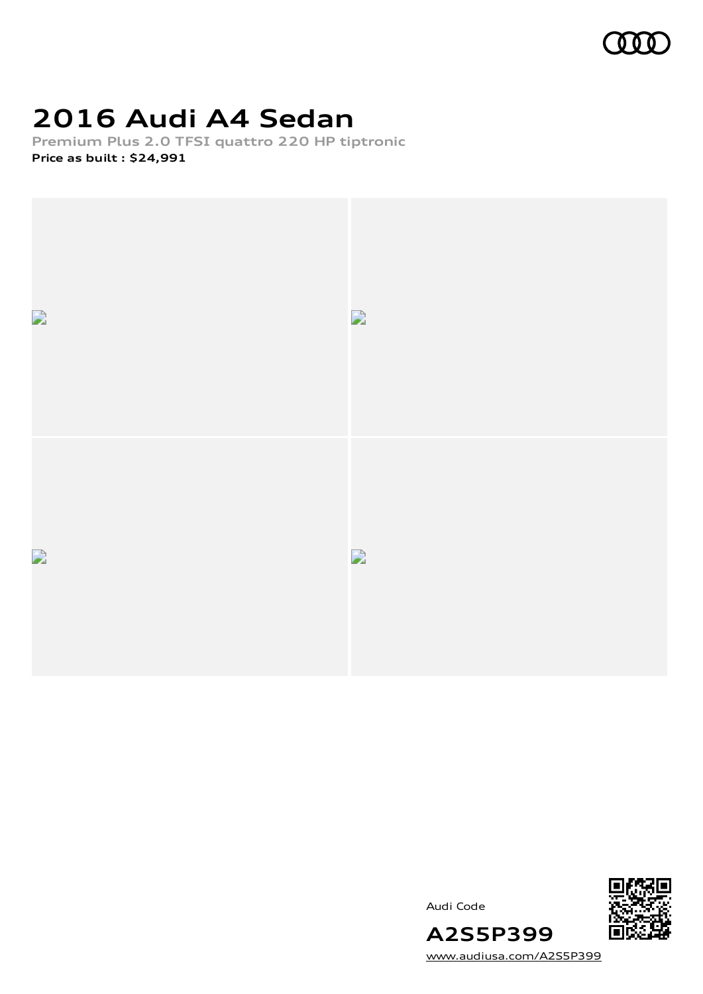

## **2016 Audi A4 Sedan**

**Premium Plus 2.0 TFSI quattro 220 HP tiptronic Price as built [:](#page-10-0) \$24,991**





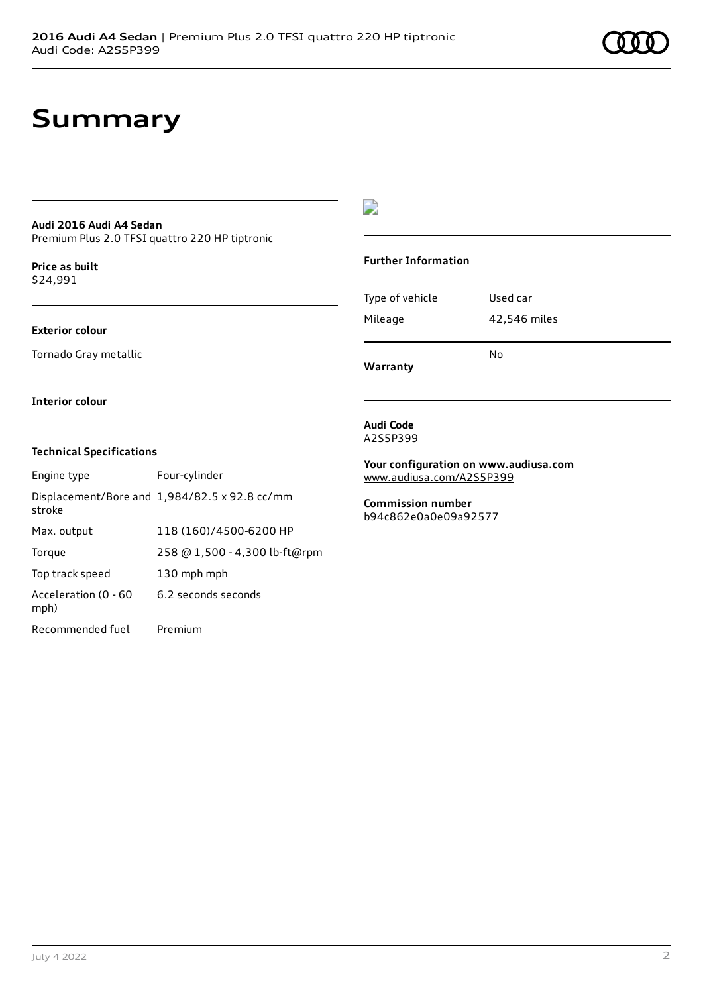## **Summary**

### **Audi 2016 Audi A4 Sedan**

Premium Plus 2.0 TFSI quattro 220 HP tiptronic

**Price as buil[t](#page-10-0)** \$24,991

#### **Exterior colour**

Tornado Gray metallic

### $\overline{\phantom{a}}$

#### **Further Information**

|                 | N٥           |
|-----------------|--------------|
| Mileage         | 42,546 miles |
| Type of vehicle | Used car     |

**Warranty**

#### **Interior colour**

#### **Technical Specifications**

| Engine type                  | Four-cylinder                                 |
|------------------------------|-----------------------------------------------|
| stroke                       | Displacement/Bore and 1,984/82.5 x 92.8 cc/mm |
| Max. output                  | 118 (160)/4500-6200 HP                        |
| Torque                       | 258 @ 1,500 - 4,300 lb-ft@rpm                 |
| Top track speed              | 130 mph mph                                   |
| Acceleration (0 - 60<br>mph) | 6.2 seconds seconds                           |
| Recommended fuel             | Premium                                       |

#### **Audi Code** A2S5P399

**Your configuration on www.audiusa.com** [www.audiusa.com/A2S5P399](https://www.audiusa.com/A2S5P399)

**Commission number** b94c862e0a0e09a92577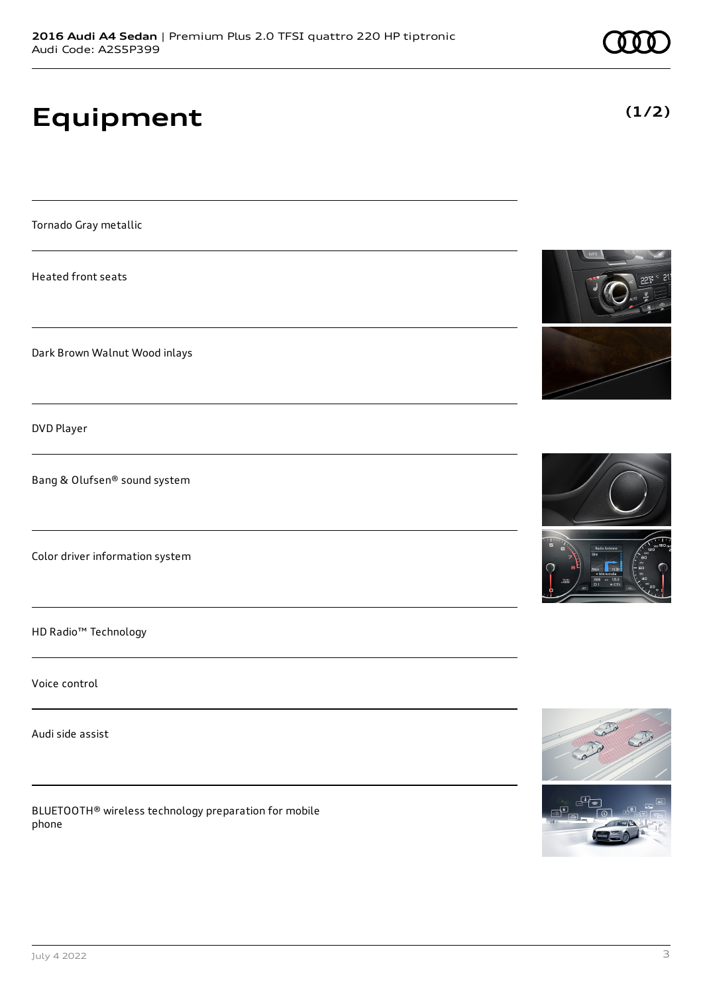# **Equipment**

Tornado Gray metallic

Heated front seats

Dark Brown Walnut Wood inlays

DVD Player

Bang & Olufsen® sound system

Color driver information system

HD Radio™ Technology

Voice control

Audi side assist

BLUETOOTH® wireless technology preparation for mobile phone







**(1/2)**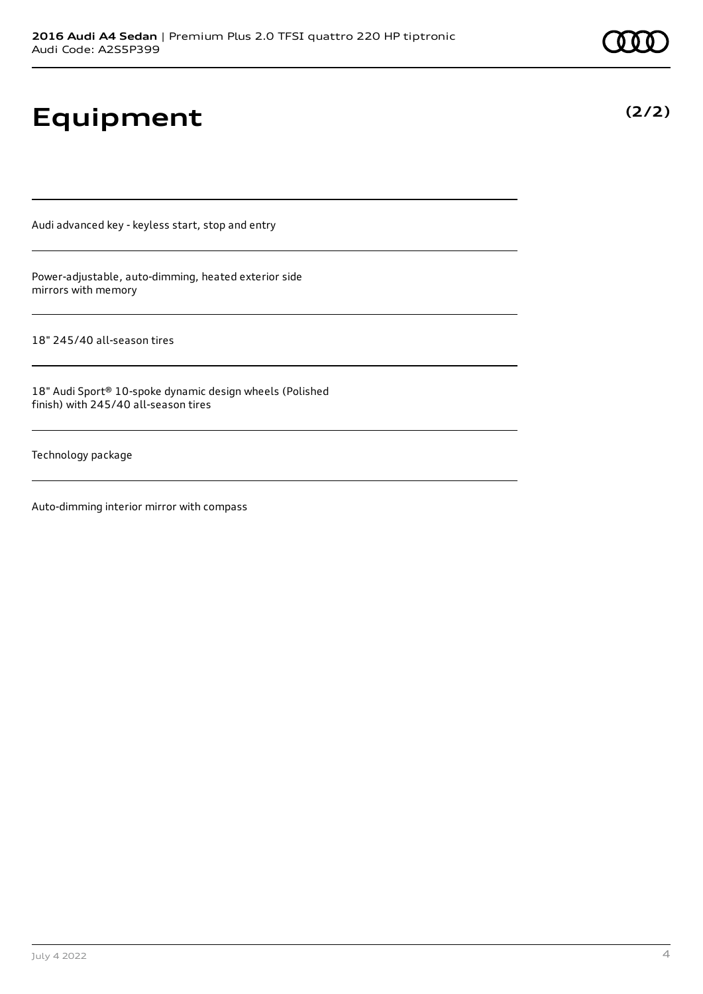# **Equipment**

Audi advanced key - keyless start, stop and entry

Power-adjustable, auto-dimming, heated exterior side mirrors with memory

18" 245/40 all-season tires

18" Audi Sport® 10-spoke dynamic design wheels (Polished finish) with 245/40 all-season tires

Technology package

Auto-dimming interior mirror with compass

**(2/2)**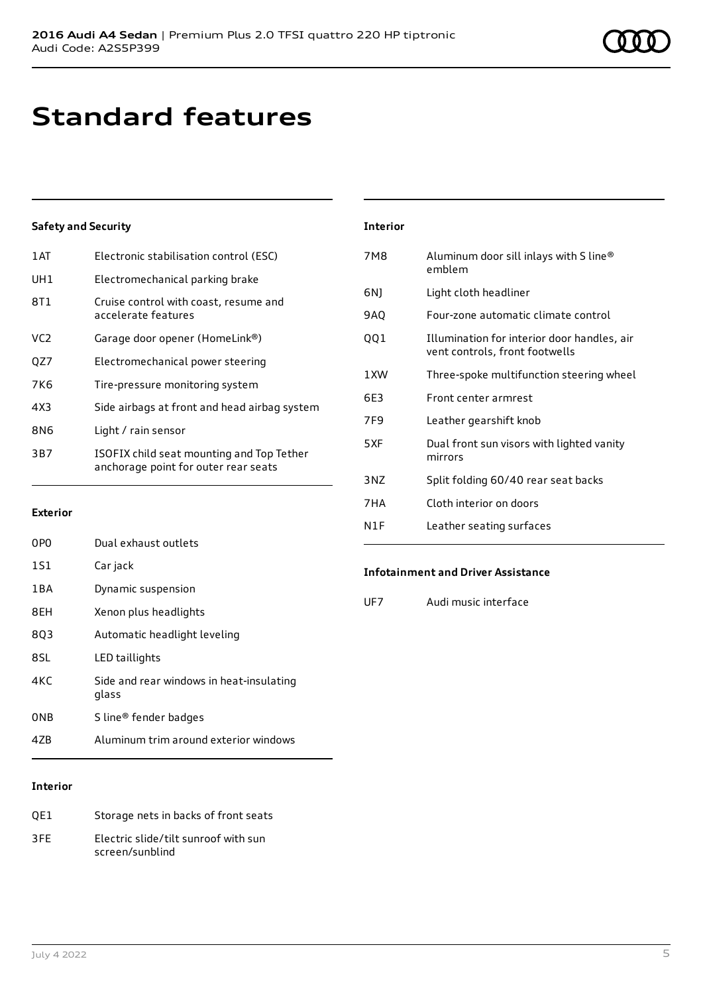# **Standard features**

### **Safety and Security**

| Electronic stabilisation control (ESC)                                            |
|-----------------------------------------------------------------------------------|
| Electromechanical parking brake                                                   |
| Cruise control with coast, resume and<br>accelerate features                      |
| Garage door opener (HomeLink®)                                                    |
| Electromechanical power steering                                                  |
| Tire-pressure monitoring system                                                   |
| Side airbags at front and head airbag system                                      |
| Light / rain sensor                                                               |
| ISOFIX child seat mounting and Top Tether<br>anchorage point for outer rear seats |
|                                                                                   |

#### **Exterior**

| 0PO   | Dual exhaust outlets                              |
|-------|---------------------------------------------------|
| 1S1   | Car jack                                          |
| 1 B A | Dynamic suspension                                |
| 8EH   | Xenon plus headlights                             |
| 803   | Automatic headlight leveling                      |
| 8SL   | LED taillights                                    |
| 4KC   | Side and rear windows in heat-insulating<br>glass |
| 0NB   | S line <sup>®</sup> fender badges                 |
| 47R   | Aluminum trim around exterior windows             |
|       |                                                   |

#### **Interior**

| OE1 | Storage nets in backs of front seats                    |
|-----|---------------------------------------------------------|
| 3FF | Electric slide/tilt sunroof with sun<br>screen/sunblind |

| <b>Interior</b> |                                                                               |
|-----------------|-------------------------------------------------------------------------------|
| 7M8             | Aluminum door sill inlays with S line®<br>emblem                              |
| 6N)             | Light cloth headliner                                                         |
| 9AQ             | Four-zone automatic climate control                                           |
| QQ1             | Illumination for interior door handles, air<br>vent controls, front footwells |
| 1 XW            | Three-spoke multifunction steering wheel                                      |
| 6F3             | Front center armrest                                                          |
| 7F9             | Leather gearshift knob                                                        |
| 5XF             | Dual front sun visors with lighted vanity<br>mirrors                          |
| 3 <sub>N7</sub> | Split folding 60/40 rear seat backs                                           |
| 7HA             | Cloth interior on doors                                                       |
| N1F             | Leather seating surfaces                                                      |

#### **Infotainment and Driver Assistance**

UF7 Audi music interface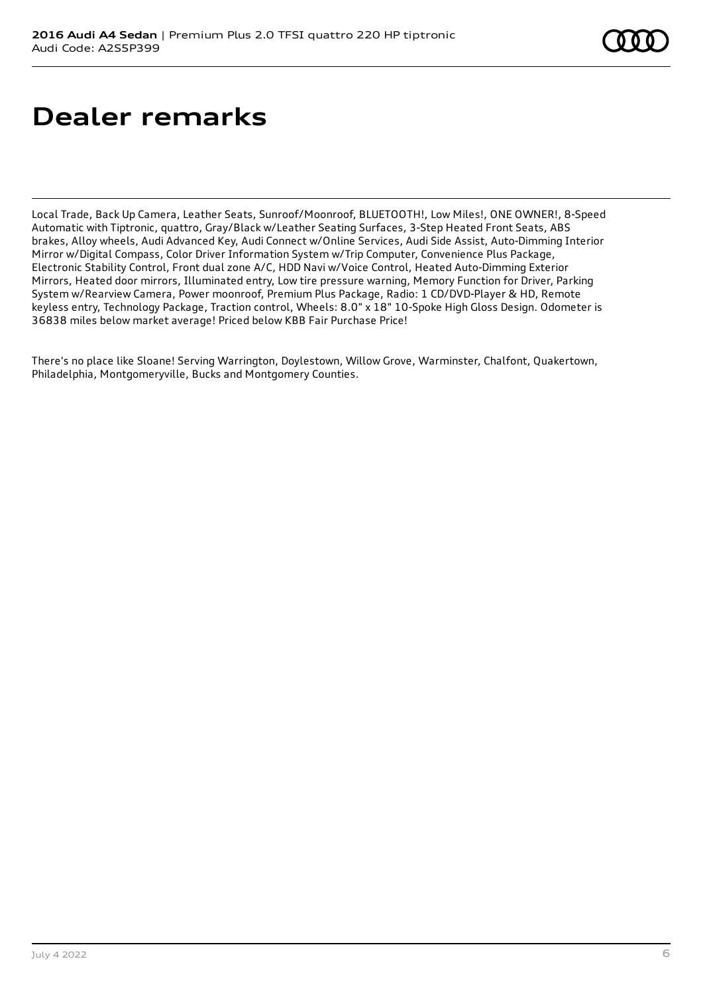# **Dealer remarks**

Local Trade, Back Up Camera, Leather Seats, Sunroof/Moonroof, BLUETOOTH!, Low Miles!, ONE OWNER!, 8-Speed Automatic with Tiptronic, quattro, Gray/Black w/Leather Seating Surfaces, 3-Step Heated Front Seats, ABS brakes, Alloy wheels, Audi Advanced Key, Audi Connect w/Online Services, Audi Side Assist, Auto-Dimming Interior Mirror w/Digital Compass, Color Driver Information System w/Trip Computer, Convenience Plus Package, Electronic Stability Control, Front dual zone A/C, HDD Navi w/Voice Control, Heated Auto-Dimming Exterior Mirrors, Heated door mirrors, Illuminated entry, Low tire pressure warning, Memory Function for Driver, Parking System w/Rearview Camera, Power moonroof, Premium Plus Package, Radio: 1 CD/DVD-Player & HD, Remote keyless entry, Technology Package, Traction control, Wheels: 8.0" x 18" 10-Spoke High Gloss Design. Odometer is 36838 miles below market average! Priced below KBB Fair Purchase Price!

There's no place like Sloane! Serving Warrington, Doylestown, Willow Grove, Warminster, Chalfont, Quakertown, Philadelphia, Montgomeryville, Bucks and Montgomery Counties.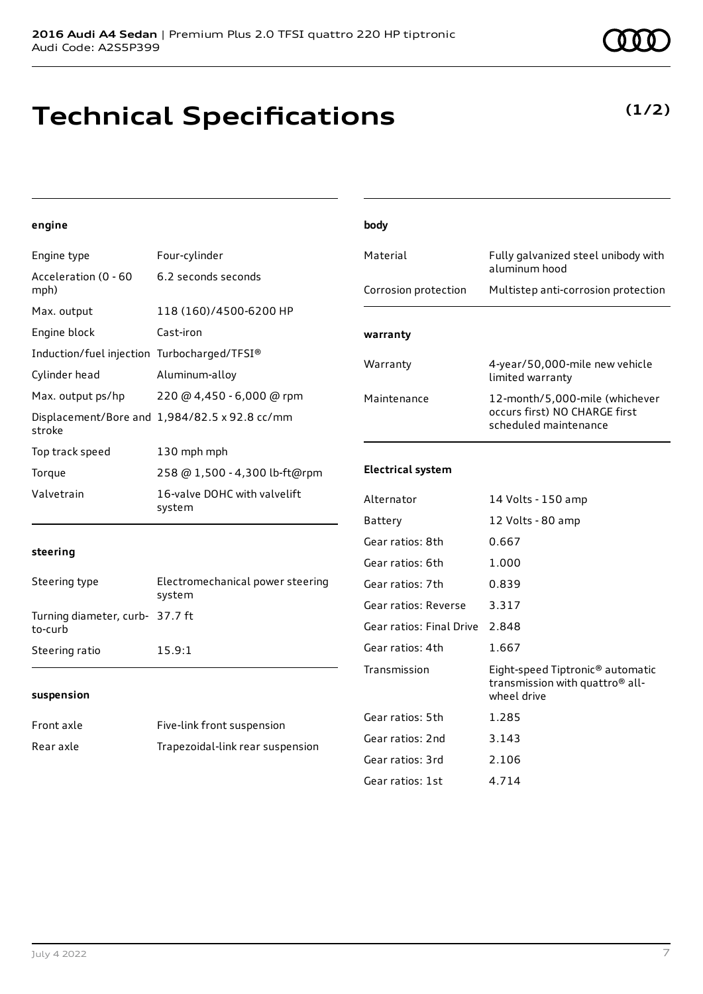## **Technical Specifications**

### **(1/2)**

#### **engine**

| engine                                      |                                               | body                     |                                                                                                            |
|---------------------------------------------|-----------------------------------------------|--------------------------|------------------------------------------------------------------------------------------------------------|
| Engine type                                 | Four-cylinder                                 | Material                 | Fully galvanized steel unibody with<br>aluminum hood                                                       |
| Acceleration (0 - 60<br>mph)                | 6.2 seconds seconds                           | Corrosion protection     | Multistep anti-corrosion protection                                                                        |
| Max. output                                 | 118 (160)/4500-6200 HP                        |                          |                                                                                                            |
| Engine block                                | Cast-iron                                     | warranty                 |                                                                                                            |
| Induction/fuel injection Turbocharged/TFSI® |                                               | Warranty                 | 4-year/50,000-mile new vehicle                                                                             |
| Cylinder head                               | Aluminum-alloy                                |                          | limited warranty                                                                                           |
| Max. output ps/hp                           | 220 @ 4,450 - 6,000 @ rpm                     | Maintenance              | 12-month/5,000-mile (whichever                                                                             |
| stroke                                      | Displacement/Bore and 1,984/82.5 x 92.8 cc/mm |                          | occurs first) NO CHARGE first<br>scheduled maintenance                                                     |
| Top track speed                             | 130 mph mph                                   |                          |                                                                                                            |
| Torque                                      | 258 @ 1,500 - 4,300 lb-ft@rpm                 | <b>Electrical system</b> |                                                                                                            |
| Valvetrain                                  | 16-valve DOHC with valvelift<br>system        | Alternator               | 14 Volts - 150 amp                                                                                         |
|                                             |                                               | Battery                  | 12 Volts - 80 amp                                                                                          |
| steering                                    |                                               | Gear ratios: 8th         | 0.667                                                                                                      |
|                                             |                                               | Gear ratios: 6th         | 1.000                                                                                                      |
| Steering type                               | Electromechanical power steering<br>system    | Gear ratios: 7th         | 0.839                                                                                                      |
| Turning diameter, curb- 37.7 ft             |                                               | Gear ratios: Reverse     | 3.317                                                                                                      |
| to-curb                                     |                                               | Gear ratios: Final Drive | 2.848                                                                                                      |
| Steering ratio                              | 15.9:1                                        | Gear ratios: 4th         | 1.667                                                                                                      |
| suspension                                  |                                               | Transmission             | Eight-speed Tiptronic <sup>®</sup> automatic<br>transmission with quattro <sup>®</sup> all-<br>wheel drive |
| Front axle                                  | Five-link front suspension                    | Gear ratios: 5th         | 1.285                                                                                                      |
| Rear axle                                   | Trapezoidal-link rear suspension              | Gear ratios: 2nd         | 3.143                                                                                                      |
|                                             |                                               | Gear ratios: 3rd         | 2.106                                                                                                      |

Gear ratios: 1st 4.714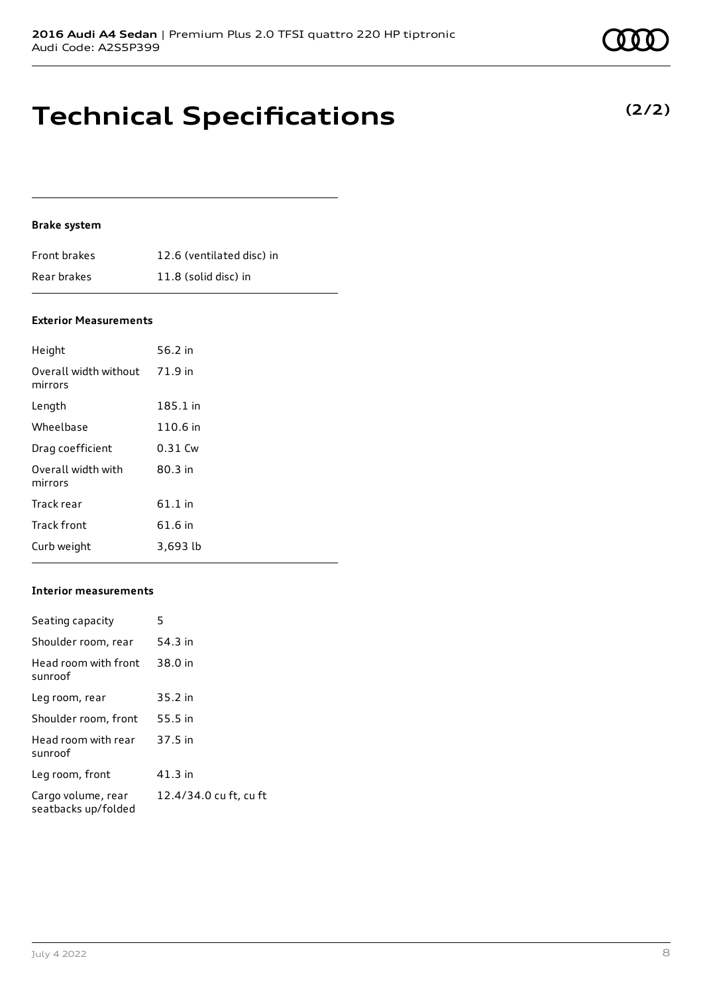#### **Brake system**

| Front brakes | 12.6 (ventilated disc) in |
|--------------|---------------------------|
| Rear brakes  | 11.8 (solid disc) in      |

#### **Exterior Measurements**

| Height                                   | 56.2 in   |
|------------------------------------------|-----------|
| Overall width without 71.9 in<br>mirrors |           |
| Length                                   | 185.1 in  |
| Wheelbase                                | 110.6 in  |
| Drag coefficient                         | $0.31$ Cw |
| Overall width with<br>mirrors            | $80.3$ in |
| Track rear                               | $61.1$ in |
| Track front                              | 61.6 in   |
| Curb weight                              | 3,693 lb  |

#### **Interior measurements**

| Seating capacity                          | 5                      |
|-------------------------------------------|------------------------|
| Shoulder room, rear                       | 54.3 in                |
| Head room with front<br>sunroof           | 38.0 in                |
| Leg room, rear                            | 35.2 in                |
| Shoulder room, front                      | 55.5 in                |
| Head room with rear<br>sunroof            | 37.5 in                |
| Leg room, front                           | 41.3 in                |
| Cargo volume, rear<br>seatbacks up/folded | 12.4/34.0 cu ft, cu ft |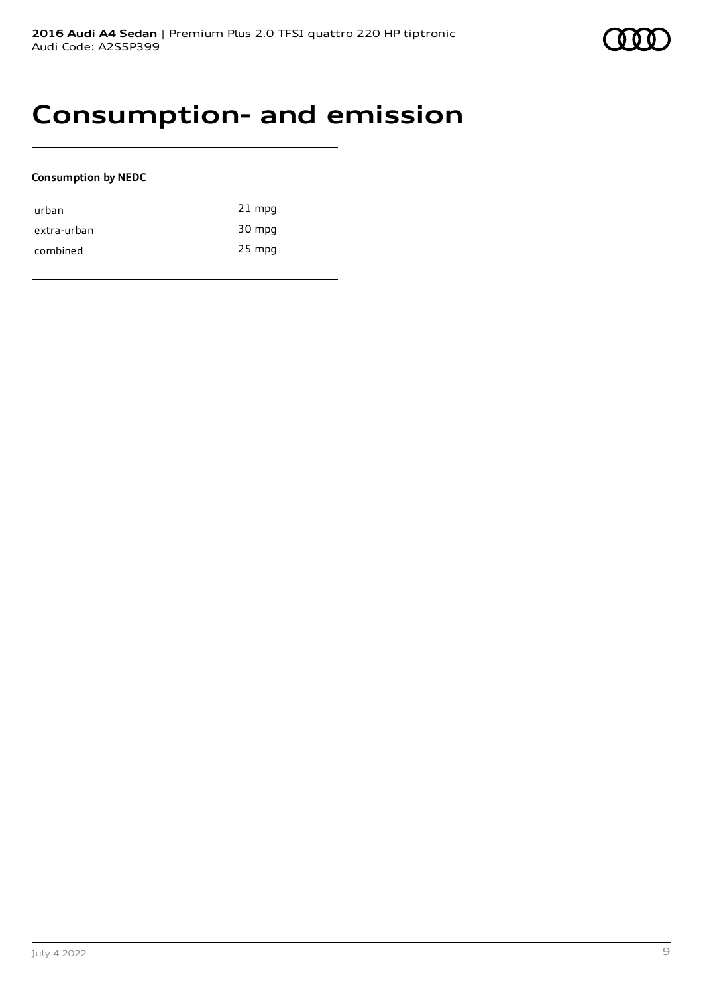### **Consumption- and emission**

#### **Consumption by NEDC**

| urban       | $21$ mpg |
|-------------|----------|
| extra-urban | 30 mpg   |
| combined    | 25 mpg   |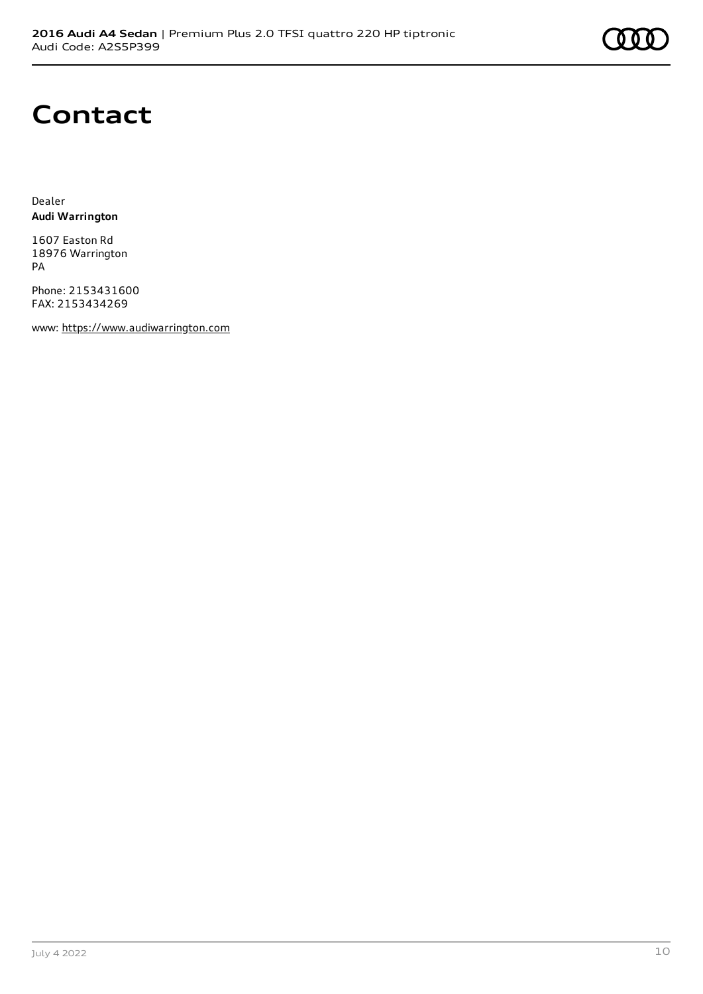## **Contact**

Dealer **Audi Warrington**

1607 Easton Rd 18976 Warrington PA

Phone: 2153431600 FAX: 2153434269

www: [https://www.audiwarrington.com](https://www.audiwarrington.com/)